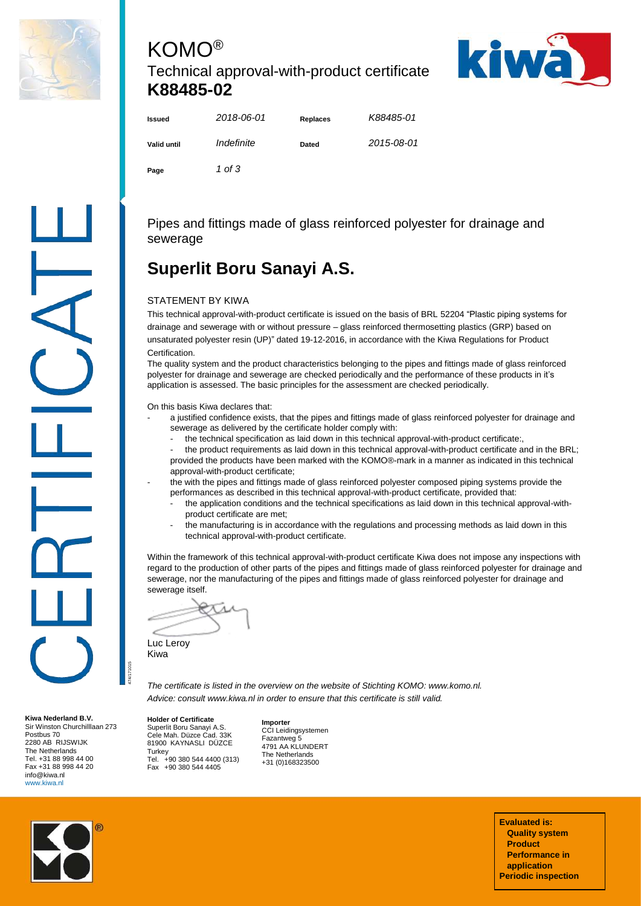

## KOMO® Technical approval-with-product certificate **K88485-02**



| <b>Issued</b> | 2018-06-01 | <b>Replaces</b> | K88485-01  |
|---------------|------------|-----------------|------------|
| Valid until   | Indefinite | Dated           | 2015-08-01 |
| Page          | 1 of 3     |                 |            |

Pipes and fittings made of glass reinforced polyester for drainage and sewerage

# **Superlit Boru Sanayi A.S.**

#### STATEMENT BY KIWA

This technical approval-with-product certificate is issued on the basis of BRL 52204 "Plastic piping systems for drainage and sewerage with or without pressure – glass reinforced thermosetting plastics (GRP) based on unsaturated polyester resin (UP)" dated 19-12-2016, in accordance with the Kiwa Regulations for Product Certification.

The quality system and the product characteristics belonging to the pipes and fittings made of glass reinforced polyester for drainage and sewerage are checked periodically and the performance of these products in it's application is assessed. The basic principles for the assessment are checked periodically.

On this basis Kiwa declares that:

- a justified confidence exists, that the pipes and fittings made of glass reinforced polyester for drainage and sewerage as delivered by the certificate holder comply with:
	- the technical specification as laid down in this technical approval-with-product certificate:,
- the product requirements as laid down in this technical approval-with-product certificate and in the BRL; provided the products have been marked with the KOMO®-mark in a manner as indicated in this technical approval-with-product certificate;
- the with the pipes and fittings made of glass reinforced polyester composed piping systems provide the performances as described in this technical approval-with-product certificate, provided that:
	- the application conditions and the technical specifications as laid down in this technical approval-withproduct certificate are met;
	- the manufacturing is in accordance with the regulations and processing methods as laid down in this technical approval-with-product certificate.

Within the framework of this technical approval-with-product certificate Kiwa does not impose any inspections with regard to the production of other parts of the pipes and fittings made of glass reinforced polyester for drainage and sewerage, nor the manufacturing of the pipes and fittings made of glass reinforced polyester for drainage and sewerage itself.

Luc Leroy Kiwa

474/171015

*The certificate is listed in the overview on the website of Stichting KOMO: www.komo.nl. Advice: consult www.kiwa.nl in order to ensure that this certificate is still valid.*

**Holder of Certificate** Superlit Boru Sanayi A.S. Cele Mah. Düzce Cad. 33K 81900 KAYNASLI DÜZCE **Turkey** Tel. +90 380 544 4400 (313) Fax +90 380 544 4405

**Importer** CCI Leidingsystemen Fazantweg 5 4791 AA KLUNDERT The Netherlands +31 (0)168323500

**Kiwa Nederland B.V.** Sir Winston Churchilllaan 273

Postbus 70 2280 AB RIJSWIJK The Netherlands Tel. +31 88 998 44 00 Fax +31 88 998 44 20 info@kiwa.nl www.kiwa.nl

> **Evaluated is: Quality system Product Performance in application Periodic inspection**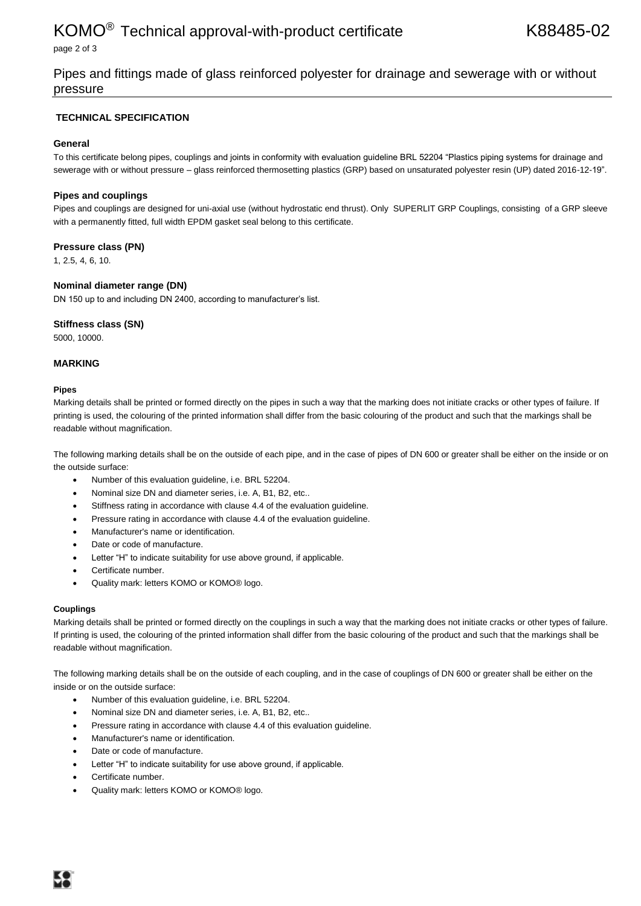### KOMO<sup>®</sup> Technical approval-with-product certificate K88485-02

page 2 of 3

Pipes and fittings made of glass reinforced polyester for drainage and sewerage with or without pressure

#### **TECHNICAL SPECIFICATION**

#### **General**

To this certificate belong pipes, couplings and joints in conformity with evaluation guideline BRL 52204 "Plastics piping systems for drainage and sewerage with or without pressure – glass reinforced thermosetting plastics (GRP) based on unsaturated polyester resin (UP) dated 2016-12-19".

#### **Pipes and couplings**

Pipes and couplings are designed for uni-axial use (without hydrostatic end thrust). Only SUPERLIT GRP Couplings, consisting of a GRP sleeve with a permanently fitted, full width EPDM gasket seal belong to this certificate.

#### **Pressure class (PN)**

1, 2.5, 4, 6, 10.

#### **Nominal diameter range (DN)**

DN 150 up to and including DN 2400, according to manufacturer's list.

#### **Stiffness class (SN)**

5000, 10000.

#### **MARKING**

#### **Pipes**

Marking details shall be printed or formed directly on the pipes in such a way that the marking does not initiate cracks or other types of failure. If printing is used, the colouring of the printed information shall differ from the basic colouring of the product and such that the markings shall be readable without magnification.

The following marking details shall be on the outside of each pipe, and in the case of pipes of DN 600 or greater shall be either on the inside or on the outside surface:

- Number of this evaluation guideline, i.e. BRL 52204.
- Nominal size DN and diameter series, i.e. A, B1, B2, etc..
- Stiffness rating in accordance with clause 4.4 of the evaluation guideline.
- Pressure rating in accordance with clause 4.4 of the evaluation guideline.
- Manufacturer's name or identification.
- Date or code of manufacture.
- Letter "H" to indicate suitability for use above ground, if applicable.
- Certificate number.
- Quality mark: letters KOMO or KOMO® logo.

#### **Couplings**

Marking details shall be printed or formed directly on the couplings in such a way that the marking does not initiate cracks or other types of failure. If printing is used, the colouring of the printed information shall differ from the basic colouring of the product and such that the markings shall be readable without magnification.

The following marking details shall be on the outside of each coupling, and in the case of couplings of DN 600 or greater shall be either on the inside or on the outside surface:

- Number of this evaluation guideline, i.e. BRL 52204.
- Nominal size DN and diameter series, i.e. A, B1, B2, etc..
- Pressure rating in accordance with clause 4.4 of this evaluation guideline.
- Manufacturer's name or identification.
- Date or code of manufacture.
- Letter "H" to indicate suitability for use above ground, if applicable.
- Certificate number.
- Quality mark: letters KOMO or KOMO® logo.